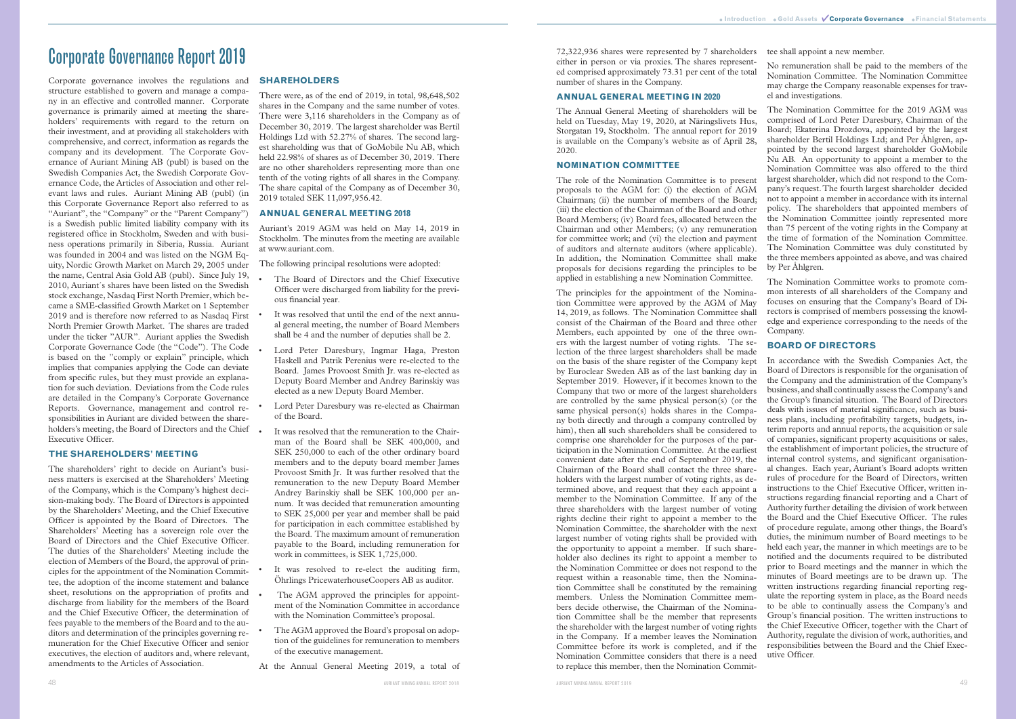# Corporate Governance Report 2019

Corporate governance involves the regulations and structure established to govern and manage a company in an effective and controlled manner. Corporate governance is primarily aimed at meeting the shareholders' requirements with regard to the return on their investment, and at providing all stakeholders with comprehensive, and correct, information as regards the company and its development. The Corporate Governance of Auriant Mining AB (publ) is based on the Swedish Companies Act, the Swedish Corporate Governance Code, the Articles of Association and other relevant laws and rules. Auriant Mining AB (publ) (in this Corporate Governance Report also referred to as "Auriant", the "Company" or the "Parent Company") is a Swedish public limited liability company with its registered office in Stockholm, Sweden and with business operations primarily in Siberia, Russia. Auriant was founded in 2004 and was listed on the NGM Equity, Nordic Growth Market on March 29, 2005 under the name, Central Asia Gold AB (publ). Since July 19, 2010, Auriant´s shares have been listed on the Swedish stock exchange, Nasdaq First North Premier, which became a SME-classified Growth Market on 1 September 2019 and is therefore now referred to as Nasdaq First North Premier Growth Market. The shares are traded under the ticker "AUR". Auriant applies the Swedish Corporate Governance Code (the "Code"). The Code is based on the "comply or explain" principle, which implies that companies applying the Code can deviate from specific rules, but they must provide an explanation for such deviation. Deviations from the Code rules are detailed in the Company's Corporate Governance Reports. Governance, management and control responsibilities in Auriant are divided between the shareholders's meeting, the Board of Directors and the Chief Executive Officer.

# **THE SHAREHOLDERS' MEETING**

The shareholders' right to decide on Auriant's business matters is exercised at the Shareholders' Meeting of the Company, which is the Company's highest decision-making body. The Board of Directors is appointed by the Shareholders' Meeting, and the Chief Executive Officer is appointed by the Board of Directors. The Shareholders' Meeting has a sovereign role over the Board of Directors and the Chief Executive Officer. The duties of the Shareholders' Meeting include the election of Members of the Board, the approval of principles for the appointment of the Nomination Committee, the adoption of the income statement and balance sheet, resolutions on the appropriation of profits and discharge from liability for the members of the Board and the Chief Executive Officer, the determination of fees payable to the members of the Board and to the auditors and determination of the principles governing remuneration for the Chief Executive Officer and senior executives, the election of auditors and, where relevant, amendments to the Articles of Association.

- The Board of Directors and the Chief Executive Officer were discharged from liability for the previous financial year.
- It was resolved that until the end of the next annual general meeting, the number of Board Members shall be 4 and the number of deputies shall be 2.
- Lord Peter Daresbury, Ingmar Haga, Preston Haskell and Patrik Perenius were re-elected to the Board. James Provoost Smith Jr. was re-elected as Deputy Board Member and Andrey Barinskiy was elected as a new Deputy Board Member.
- Lord Peter Daresbury was re-elected as Chairman of the Board.
- It was resolved that the remuneration to the Chairman of the Board shall be SEK 400,000, and SEK 250,000 to each of the other ordinary board members and to the deputy board member James Provoost Smith Jr. It was further resolved that the remuneration to the new Deputy Board Member Andrey Barinskiy shall be SEK 100,000 per annum. It was decided that remuneration amounting to SEK 25,000 per year and member shall be paid for participation in each committee established by the Board. The maximum amount of remuneration payable to the Board, including remuneration for work in committees, is SEK 1,725,000.
- It was resolved to re-elect the auditing firm, Öhrlings PricewaterhouseCoopers AB as auditor.
- The AGM approved the principles for appointment of the Nomination Committee in accordance with the Nomination Committee's proposal.
- The AGM approved the Board's proposal on adoption of the guidelines for remuneration to members of the executive management.

# **SHAREHOLDERS**

There were, as of the end of 2019, in total, 98,648,502 shares in the Company and the same number of votes. There were 3,116 shareholders in the Company as of December 30, 2019. The largest shareholder was Bertil Holdings Ltd with 52.27% of shares. The second largest shareholding was that of GoMobile Nu AB, which held 22.98% of shares as of December 30, 2019. There are no other shareholders representing more than one tenth of the voting rights of all shares in the Company. The share capital of the Company as of December 30, 2019 totaled SEK 11,097,956.42.

# **ANNUAL GENERAL MEETING 2018**

Auriant's 2019 AGM was held on May 14, 2019 in Stockholm. The minutes from the meeting are available at www.auriant.com.

The following principal resolutions were adopted:

At the Annual General Meeting 2019, a total of

72,322,936 shares were represented by 7 shareholders tee shall appoint a new member. either in person or via proxies. The shares represented comprised approximately 73.31 per cent of the total number of shares in the Company.

# **ANNUAL GENERAL MEETING IN 2020**

The Annual General Meeting of shareholders will be held on Tuesday, May 19, 2020, at Näringslivets Hus, Storgatan 19, Stockholm. The annual report for 2019 is available on the Company's website as of April 28, 2020.

#### **NOMINATION COMMITTEE**

The role of the Nomination Committee is to present proposals to the AGM for: (i) the election of AGM Chairman; (ii) the number of members of the Board; (iii) the election of the Chairman of the Board and other Board Members; (iv) Board fees, allocated between the Chairman and other Members; (v) any remuneration for committee work; and (vi) the election and payment of auditors and alternate auditors (where applicable). In addition, the Nomination Committee shall make proposals for decisions regarding the principles to be applied in establishing a new Nomination Committee.

No remuneration shall be paid to the members of the Nomination Committee. The Nomination Committee may charge the Company reasonable expenses for travel and investigations.

The principles for the appointment of the Nomination Committee were approved by the AGM of May 14, 2019, as follows. The Nomination Committee shall consist of the Chairman of the Board and three other Members, each appointed by one of the three owners with the largest number of voting rights. The selection of the three largest shareholders shall be made on the basis of the share register of the Company kept by Euroclear Sweden AB as of the last banking day in September 2019. However, if it becomes known to the Company that two or more of the largest shareholders are controlled by the same physical person(s) (or the same physical person(s) holds shares in the Company both directly and through a company controlled by him), then all such shareholders shall be considered to comprise one shareholder for the purposes of the participation in the Nomination Committee. At the earliest convenient date after the end of September 2019, the Chairman of the Board shall contact the three shareholders with the largest number of voting rights, as determined above, and request that they each appoint a member to the Nomination Committee. If any of the three shareholders with the largest number of voting rights decline their right to appoint a member to the Nomination Committee, the shareholder with the next largest number of voting rights shall be provided with the opportunity to appoint a member. If such shareholder also declines its right to appoint a member to the Nomination Committee or does not respond to the request within a reasonable time, then the Nomination Committee shall be constituted by the remaining members. Unless the Nomination Committee members decide otherwise, the Chairman of the Nomination Committee shall be the member that represents the shareholder with the largest number of voting rights in the Company. If a member leaves the Nomination Committee before its work is completed, and if the Nomination Committee considers that there is a need to replace this member, then the Nomination Commitfocuses on ensuring that the Company's Board of Directors is comprised of members possessing the knowledge and experience corresponding to the needs of the Company. **BOARD OF DIRECTORS** In accordance with the Swedish Companies Act, the Board of Directors is responsible for the organisation of the Company and the administration of the Company's business, and shall continually assess the Company's and the Group's financial situation. The Board of Directors deals with issues of material significance, such as business plans, including profitability targets, budgets, interim reports and annual reports, the acquisition or sale of companies, significant property acquisitions or sales, the establishment of important policies, the structure of internal control systems, and significant organisational changes. Each year, Auriant's Board adopts written rules of procedure for the Board of Directors, written instructions to the Chief Executive Officer, written instructions regarding financial reporting and a Chart of Authority further detailing the division of work between the Board and the Chief Executive Officer. The rules of procedure regulate, among other things, the Board's duties, the minimum number of Board meetings to be held each year, the manner in which meetings are to be notified and the documents required to be distributed prior to Board meetings and the manner in which the minutes of Board meetings are to be drawn up. The written instructions regarding financial reporting regulate the reporting system in place, as the Board needs to be able to continually assess the Company's and Group's financial position. The written instructions to the Chief Executive Officer, together with the Chart of Authority, regulate the division of work, authorities, and responsibilities between the Board and the Chief Executive Officer.

The Nomination Committee for the 2019 AGM was comprised of Lord Peter Daresbury, Chairman of the Board; Ekaterina Drozdova, appointed by the largest shareholder Bertil Holdings Ltd; and Per Åhlgren, appointed by the second largest shareholder GoMobile Nu AB. An opportunity to appoint a member to the Nomination Committee was also offered to the third largest shareholder, which did not respond to the Company's request. The fourth largest shareholder decided not to appoint a member in accordance with its internal policy. The shareholders that appointed members of the Nomination Committee jointly represented more than 75 percent of the voting rights in the Company at the time of formation of the Nomination Committee. The Nomination Committee was duly constituted by the three members appointed as above, and was chaired by Per Åhlgren.

The Nomination Committee works to promote common interests of all shareholders of the Company and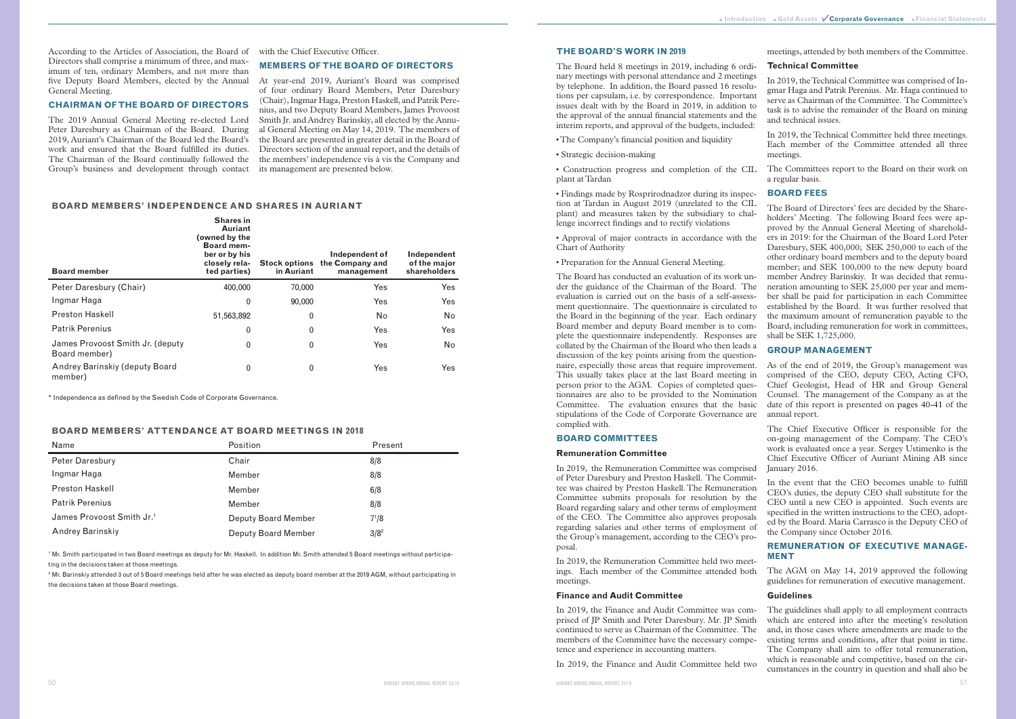According to the Articles of Association, the Board of with the Chief Executive Officer. Directors shall comprise a minimum of three, and maximum of ten, ordinary Members, and not more than five Deputy Board Members, elected by the Annual At year-end 2019, Auriant's Board was comprised General Meeting.

#### **CHAIRMAN OF THE BOARD OF DIRECTORS**

The 2019 Annual General Meeting re-elected Lord Peter Daresbury as Chairman of the Board. During 2019, Auriant's Chairman of the Board led the Board's work and ensured that the Board fulfilled its duties. The Chairman of the Board continually followed the Group's business and development through contact

#### **MEMBERS OF THE BOARD OF DIRECTORS**

of four ordinary Board Members, Peter Daresbury (Chair), Ingmar Haga, Preston Haskell, and Patrik Perenius, and two Deputy Board Members, James Provoost Smith Jr. and Andrey Barinskiy, all elected by the Annual General Meeting on May 14, 2019. The members of the Board are presented in greater detail in the Board of Directors section of the annual report, and the details of the members' independence vis á vis the Company and its management are presented below.

<sup>1</sup> Mr. Smith participated in two Board meetings as deputy for Mr. Haskell. In addition Mr. Smith attended 5 Board meetings without participating in the decisions taken at those meetings.

<sup>2</sup> Mr. Barinskiy attended 3 out of 5 Board meetings held after he was elected as deputy board member at the 2019 AGM, without participating in the decisions taken at those Board meetings.

#### **BOARD MEMBERS' INDEPENDENCE AND SHARES IN AURIANT**

| <b>Board member</b>                               | <b>Shares in</b><br><b>Auriant</b><br>(owned by the<br><b>Board mem-</b><br>ber or by his<br>closely rela-<br>ted parties) | <b>Stock options</b><br>in Auriant | Independent of<br>the Company and<br>management | Independent<br>of the major<br>shareholders |
|---------------------------------------------------|----------------------------------------------------------------------------------------------------------------------------|------------------------------------|-------------------------------------------------|---------------------------------------------|
| Peter Daresbury (Chair)                           | 400,000                                                                                                                    | 70,000                             | Yes                                             | Yes                                         |
| Ingmar Haga                                       | $\mathbf{0}$                                                                                                               | 90,000                             | Yes                                             | Yes                                         |
| <b>Preston Haskell</b>                            | 51,563,892                                                                                                                 | 0                                  | No                                              | No.                                         |
| <b>Patrik Perenius</b>                            | 0                                                                                                                          | 0                                  | Yes                                             | Yes                                         |
| James Provoost Smith Jr. (deputy<br>Board member) | 0                                                                                                                          | 0                                  | Yes                                             | No                                          |
| Andrey Barinskiy (deputy Board<br>member)         | $\mathbf{0}$                                                                                                               | 0                                  | Yes                                             | Yes                                         |

\* Independence as defined by the Swedish Code of Corporate Governance.

#### **BOARD MEMBERS' ATTENDANCE AT BOARD MEETINGS IN 2018**

| Name                                  | Position            | Present   |
|---------------------------------------|---------------------|-----------|
| Peter Daresbury                       | Chair               | 8/8       |
| Ingmar Haga                           | Member              | 8/8       |
| <b>Preston Haskell</b>                | Member              | 6/8       |
| <b>Patrik Perenius</b>                | Member              | 8/8       |
| James Provoost Smith Jr. <sup>1</sup> | Deputy Board Member | $7^{1}/8$ |
| Andrey Barinskiy                      | Deputy Board Member | $3/8^2$   |

# **THE BOARD'S WORK IN 2019**

The Board held 8 meetings in 2019, including 6 ordinary meetings with personal attendance and 2 meetings by telephone. In addition, the Board passed 16 resolutions per capsulam, i.e. by correspondence. Important issues dealt with by the Board in 2019, in addition to the approval of the annual financial statements and the interim reports, and approval of the budgets, included:

- The Company's financial position and liquidity
- Strategic decision-making

plant at Tardan

• Findings made by Rosprirodnadzor during its inspection at Tardan in August 2019 (unrelated to the CIL plant) and measures taken by the subsidiary to challenge incorrect findings and to rectify violations

• Approval of major contracts in accordance with the Chart of Authority

• Preparation for the Annual General Meeting.

The Board has conducted an evaluation of its work under the guidance of the Chairman of the Board. The evaluation is carried out on the basis of a self-assessment questionnaire. The questionnaire is circulated to the Board in the beginning of the year. Each ordinary Board member and deputy Board member is to complete the questionnaire independently. Responses are collated by the Chairman of the Board who then leads a discussion of the key points arising from the questionnaire, especially those areas that require improvement. This usually takes place at the last Board meeting in person prior to the AGM. Copies of completed questionnaires are also to be provided to the Nomination Committee. The evaluation ensures that the basic stipulations of the Code of Corporate Governance are complied with.

#### **BOARD COMMITTEES**

# **Remuneration Committee**

• Construction progress and completion of the CIL The Committees report to the Board on their work on a regular basis.

In 2019, the Remuneration Committee was comprised of Peter Daresbury and Preston Haskell. The Committee was chaired by Preston Haskell. The Remuneration Committee submits proposals for resolution by the Board regarding salary and other terms of employment of the CEO. The Committee also approves proposals regarding salaries and other terms of employment of the Group's management, according to the CEO's proposal.

In 2019, the Remuneration Committee held two meetings. Each member of the Committee attended both meetings.

# **Finance and Audit Committee**

members of the Committee have the necessary competence and experience in accounting matters.

meetings, attended by both members of the Committee.

# **Technical Committee**

In 2019, the Technical Committee was comprised of Ingmar Haga and Patrik Perenius. Mr. Haga continued to serve as Chairman of the Committee. The Committee's task is to advise the remainder of the Board on mining and technical issues.

In 2019, the Technical Committee held three meetings. Each member of the Committee attended all three meetings.

# **BOARD FEES**

The Board of Directors' fees are decided by the Shareholders' Meeting. The following Board fees were approved by the Annual General Meeting of shareholders in 2019: for the Chairman of the Board Lord Peter Daresbury, SEK 400,000; SEK 250,000 to each of the other ordinary board members and to the deputy board member; and SEK 100,000 to the new deputy board member Andrey Barinskiy. It was decided that remuneration amounting to SEK 25,000 per year and member shall be paid for participation in each Committee established by the Board. It was further resolved that the maximum amount of remuneration payable to the Board, including remuneration for work in committees, shall be SEK 1,725,000.

In 2019, the Finance and Audit Committee was comprised of JP Smith and Peter Daresbury. Mr. JP Smith continued to serve as Chairman of the Committee. The In 2019, the Finance and Audit Committee held two The guidelines shall apply to all employment contracts which are entered into after the meeting's resolution and, in those cases where amendments are made to the existing terms and conditions, after that point in time. The Company shall aim to offer total remuneration, which is reasonable and competitive, based on the circumstances in the country in question and shall also be

# **GROUP MANAGEMENT**

As of the end of 2019, the Group's management was comprised of the CEO, deputy CEO, Acting CFO, Chief Geologist, Head of HR and Group General Counsel. The management of the Company as at the date of this report is presented on pages 40-41 of the annual report.

The Chief Executive Officer is responsible for the on-going management of the Company. The CEO's work is evaluated once a year. Sergey Ustimenko is the Chief Executive Officer of Auriant Mining AB since January 2016.

In the event that the CEO becomes unable to fulfill CEO's duties, the deputy CEO shall substitute for the CEO until a new CEO is appointed. Such events are specified in the written instructions to the CEO, adopted by the Board. Maria Carrasco is the Deputy CEO of the Company since October 2016.

# **REMUNERATION OF EXECUTIVE MANAGE-MENT**

The AGM on May 14, 2019 approved the following guidelines for remuneration of executive management.

### **Guidelines**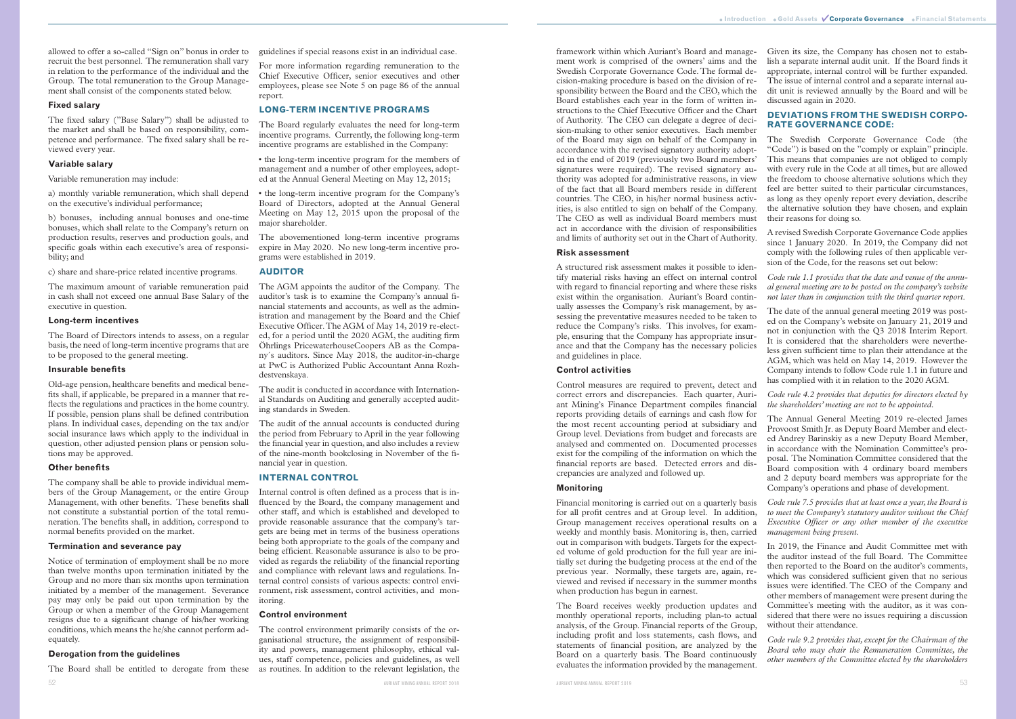allowed to offer a so-called "Sign on" bonus in order to recruit the best personnel. The remuneration shall vary in relation to the performance of the individual and the Group. The total remuneration to the Group Management shall consist of the components stated below.

#### **Fixed salary**

The fixed salary ("Base Salary") shall be adjusted to the market and shall be based on responsibility, competence and performance. The fixed salary shall be reviewed every year.

#### **Variable salary**

Variable remuneration may include:

a) monthly variable remuneration, which shall depend on the executive's individual performance;

b) bonuses, including annual bonuses and one-time bonuses, which shall relate to the Company's return on production results, reserves and production goals, and specific goals within each executive's area of responsibility; and

c) share and share-price related incentive programs.

The maximum amount of variable remuneration paid in cash shall not exceed one annual Base Salary of the executive in question.

#### **Long-term incentives**

The Board of Directors intends to assess, on a regular basis, the need of long-term incentive programs that are to be proposed to the general meeting.

# **Insurable benefits**

52 AURIANT MINING ANNUAL REPORT 2018 The Board shall be entitled to derogate from these

Old-age pension, healthcare benefits and medical benefits shall, if applicable, be prepared in a manner that reflects the regulations and practices in the home country. If possible, pension plans shall be defined contribution plans. In individual cases, depending on the tax and/or social insurance laws which apply to the individual in question, other adjusted pension plans or pension solutions may be approved.

#### **Other benefits**

The company shall be able to provide individual members of the Group Management, or the entire Group Management, with other benefits. These benefits shall not constitute a substantial portion of the total remuneration. The benefits shall, in addition, correspond to normal benefits provided on the market.

#### **Termination and severance pay**

Notice of termination of employment shall be no more than twelve months upon termination initiated by the Group and no more than six months upon termination initiated by a member of the management. Severance pay may only be paid out upon termination by the Group or when a member of the Group Management resigns due to a significant change of his/her working conditions, which means the he/she cannot perform adequately.

#### **Derogation from the guidelines**

guidelines if special reasons exist in an individual case.

For more information regarding remuneration to the Chief Executive Officer, senior executives and other employees, please see Note 5 on page 86 of the annual report.

# **LONG-TERM INCENTIVE PROGRAMS**

The Board regularly evaluates the need for long-term incentive programs. Currently, the following long-term incentive programs are established in the Company:

• the long-term incentive program for the members of management and a number of other employees, adopted at the Annual General Meeting on May 12, 2015;

• the long-term incentive program for the Company's Board of Directors, adopted at the Annual General Meeting on May 12, 2015 upon the proposal of the major shareholder.

The abovementioned long-term incentive programs expire in May 2020. No new long-term incentive programs were established in 2019.

### **AUDITOR**

The AGM appoints the auditor of the Company. The auditor's task is to examine the Company's annual financial statements and accounts, as well as the administration and management by the Board and the Chief Executive Officer. The AGM of May 14, 2019 re-elected, for a period until the 2020 AGM, the auditing firm Öhrlings PricewaterhouseCoopers AB as the Company´s auditors. Since May 2018, the auditor-in-charge at PwC is Authorized Public Accountant Anna Rozhdestvenskaya.

The audit is conducted in accordance with International Standards on Auditing and generally accepted auditing standards in Sweden.

The audit of the annual accounts is conducted during the period from February to April in the year following the financial year in question, and also includes a review of the nine-month bookclosing in November of the financial year in question.

# **INTERNAL CONTROL**

Internal control is often defined as a process that is influenced by the Board, the company management and other staff, and which is established and developed to provide reasonable assurance that the company's targets are being met in terms of the business operations being both appropriate to the goals of the company and being efficient. Reasonable assurance is also to be provided as regards the reliability of the financial reporting and compliance with relevant laws and regulations. Internal control consists of various aspects: control environment, risk assessment, control activities, and monitoring.

#### **Control environment**

The control environment primarily consists of the organisational structure, the assignment of responsibility and powers, management philosophy, ethical values, staff competence, policies and guidelines, as well as routines. In addition to the relevant legislation, the framework within which Auriant's Board and management work is comprised of the owners' aims and the Swedish Corporate Governance Code. The formal decision-making procedure is based on the division of responsibility between the Board and the CEO, which the Board establishes each year in the form of written instructions to the Chief Executive Officer and the Chart of Authority. The CEO can delegate a degree of decision-making to other senior executives. Each member of the Board may sign on behalf of the Company in accordance with the revised signatory authority adopted in the end of 2019 (previously two Board members' signatures were required). The revised signatory authority was adopted for administrative reasons, in view of the fact that all Board members reside in different countries. The CEO, in his/her normal business activities, is also entitled to sign on behalf of the Company. The CEO as well as individual Board members must act in accordance with the division of responsibilities and limits of authority set out in the Chart of Authority.

#### **Risk assessment**

A structured risk assessment makes it possible to identify material risks having an effect on internal control with regard to financial reporting and where these risks exist within the organisation. Auriant's Board continually assesses the Company's risk management, by assessing the preventative measures needed to be taken to reduce the Company's risks. This involves, for example, ensuring that the Company has appropriate insurance and that the Company has the necessary policies and guidelines in place.

# **Control activities**

Control measures are required to prevent, detect and correct errors and discrepancies. Each quarter, Auriant Mining's Finance Department compiles financial reports providing details of earnings and cash flow for the most recent accounting period at subsidiary and Group level. Deviations from budget and forecasts are analysed and commented on. Documented processes exist for the compiling of the information on which the financial reports are based. Detected errors and discrepancies are analyzed and followed up.

#### **Monitoring**

Given its size, the Company has chosen not to establish a separate internal audit unit. If the Board finds it appropriate, internal control will be further expanded. The issue of internal control and a separate internal audit unit is reviewed annually by the Board and will be discussed again in 2020.

# **DEVIATIONS FROM THE SWEDISH CORPO-RATE GOVERNANCE CODE:**

The Swedish Corporate Governance Code (the "Code") is based on the "comply or explain" principle. This means that companies are not obliged to comply with every rule in the Code at all times, but are allowed the freedom to choose alternative solutions which they feel are better suited to their particular circumstances, as long as they openly report every deviation, describe the alternative solution they have chosen, and explain their reasons for doing so.

A revised Swedish Corporate Governance Code applies since 1 January 2020. In 2019, the Company did not comply with the following rules of then applicable version of the Code, for the reasons set out below:

Financial monitoring is carried out on a quarterly basis for all profit centres and at Group level. In addition, Group management receives operational results on a weekly and monthly basis. Monitoring is, then, carried out in comparison with budgets. Targets for the expected volume of gold production for the full year are initially set during the budgeting process at the end of the previous year. Normally, these targets are, again, reviewed and revised if necessary in the summer months when production has begun in earnest. The Board receives weekly production updates and monthly operational reports, including plan-to actual analysis, of the Group. Financial reports of the Group, *Code rule 7.5 provides that at least once a year, the Board is to meet the Company's statutory auditor without the Chief Executive Officer or any other member of the executive management being present.*  In 2019, the Finance and Audit Committee met with the auditor instead of the full Board. The Committee then reported to the Board on the auditor's comments, which was considered sufficient given that no serious issues were identified. The CEO of the Company and other members of management were present during the Committee's meeting with the auditor, as it was considered that there were no issues requiring a discussion without their attendance.

*Code rule 1.1 provides that the date and venue of the annual general meeting are to be posted on the company's website not later than in conjunction with the third quarter report.* 

including profit and loss statements, cash flows, and statements of financial position, are analyzed by the Board on a quarterly basis. The Board continuously evaluates the information provided by the management. *Code rule 9.2 provides that, except for the Chairman of the Board who may chair the Remuneration Committee, the other members of the Committee elected by the shareholders* 

The date of the annual general meeting 2019 was posted on the Company's website on January 21, 2019 and not in conjunction with the Q3 2018 Interim Report. It is considered that the shareholders were nevertheless given sufficient time to plan their attendance at the AGM, which was held on May 14, 2019. However the Company intends to follow Code rule 1.1 in future and has complied with it in relation to the 2020 AGM.

#### *Code rule 4.2 provides that deputies for directors elected by the shareholders' meeting are not to be appointed.*

The Annual General Meeting 2019 re-elected James Provoost Smith Jr. as Deputy Board Member and elected Andrey Barinskiy as a new Deputy Board Member, in accordance with the Nomination Committee's proposal. The Nomination Committee considered that the Board composition with 4 ordinary board members and 2 deputy board members was appropriate for the Company's operations and phase of development.